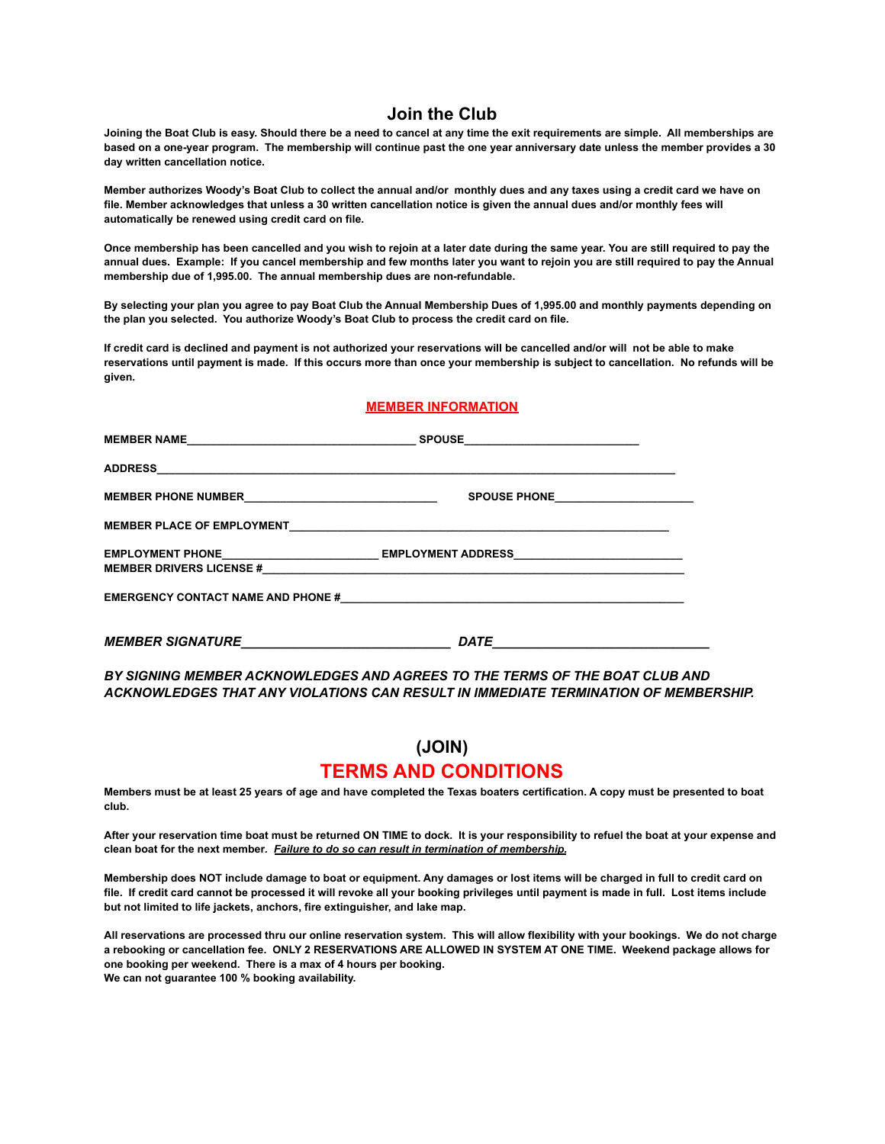## **Join the Club**

**Joining the Boat Club is easy. Should there be a need to cancel at any time the exit requirements are simple. All memberships are based on a one-year program. The membership will continue past the one year anniversary date unless the member provides a 30 day written cancellation notice.**

**Member authorizes Woody's Boat Club to collect the annual and/or monthly dues and any taxes using a credit card we have on file. Member acknowledges that unless a 30 written cancellation notice is given the annual dues and/or monthly fees will automatically be renewed using credit card on file.**

**Once membership has been cancelled and you wish to rejoin at a later date during the same year. You are still required to pay the annual dues. Example: If you cancel membership and few months later you want to rejoin you are still required to pay the Annual membership due of 1,995.00. The annual membership dues are non-refundable.**

**By selecting your plan you agree to pay Boat Club the Annual Membership Dues of 1,995.00 and monthly payments depending on the plan you selected. You authorize Woody's Boat Club to process the credit card on file.**

**If credit card is declined and payment is not authorized your reservations will be cancelled and/or will not be able to make reservations until payment is made. If this occurs more than once your membership is subject to cancellation. No refunds will be given.**

## **MEMBER INFORMATION**

| MEMBER NAME SPOUSE                                                                                                                         | <u> 1980 - Jan Barbara Barat, manazarta da kasas da shekara 1980 - An an tsara 1980 - An an tsara 1980 - An an A</u> |
|--------------------------------------------------------------------------------------------------------------------------------------------|----------------------------------------------------------------------------------------------------------------------|
|                                                                                                                                            |                                                                                                                      |
|                                                                                                                                            |                                                                                                                      |
|                                                                                                                                            |                                                                                                                      |
|                                                                                                                                            | EMPLOYMENT PHONE____________________________EMPLOYMENT ADDRESS___________________                                    |
|                                                                                                                                            |                                                                                                                      |
| <b>MEMBER SIGNATURE</b><br>the contract of the contract of the contract of the contract of the contract of the contract of the contract of | DATE                                                                                                                 |

*BY SIGNING MEMBER ACKNOWLEDGES AND AGREES TO THE TERMS OF THE BOAT CLUB AND ACKNOWLEDGES THAT ANY VIOLATIONS CAN RESULT IN IMMEDIATE TERMINATION OF MEMBERSHIP.*

## **(JOIN)**

## **TERMS AND CONDITIONS**

**Members must be at least 25 years of age and have completed the Texas boaters certification. A copy must be presented to boat club.**

**After your reservation time boat must be returned ON TIME to dock. It is your responsibility to refuel the boat at your expense and clean boat for the next member***. Failure to do so can result in termination of membership.*

**Membership does NOT include damage to boat or equipment. Any damages or lost items will be charged in full to credit card on file. If credit card cannot be processed it will revoke all your booking privileges until payment is made in full. Lost items include but not limited to life jackets, anchors, fire extinguisher, and lake map.**

**All reservations are processed thru our online reservation system. This will allow flexibility with your bookings. We do not charge a rebooking or cancellation fee. ONLY 2 RESERVATIONS ARE ALLOWED IN SYSTEM AT ONE TIME. Weekend package allows for one booking per weekend. There is a max of 4 hours per booking.**

**We can not guarantee 100 % booking availability.**